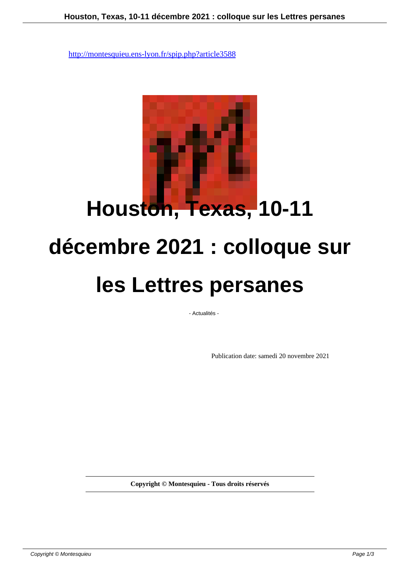

## **décembre 2021 : colloque sur**

## **les Lettres persanes**

- Actualités -

Publication date: samedi 20 novembre 2021

**Copyright © Montesquieu - Tous droits réservés**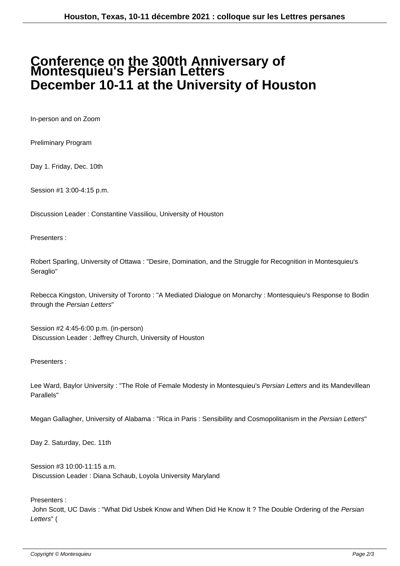## **Conference on the 300th Anniversary of Montesquieu's Persian Letters December 10-11 at the University of Houston**

In-person and on Zoom

Preliminary Program

Day 1. Friday, Dec. 10th

Session #1 3:00-4:15 p.m.

Discussion Leader : Constantine Vassiliou, University of Houston

Presenters :

Robert Sparling, University of Ottawa : "Desire, Domination, and the Struggle for Recognition in Montesquieu's Seraglio"

Rebecca Kingston, University of Toronto : "A Mediated Dialogue on Monarchy : Montesquieu's Response to Bodin through the Persian Letters"

Session #2 4:45-6:00 p.m. (in-person) Discussion Leader : Jeffrey Church, University of Houston

Presenters :

Lee Ward, Baylor University : "The Role of Female Modesty in Montesquieu's Persian Letters and its Mandevillean Parallels"

Megan Gallagher, University of Alabama: "Rica in Paris: Sensibility and Cosmopolitanism in the Persian Letters"

Day 2. Saturday, Dec. 11th

Session #3 10:00-11:15 a.m. Discussion Leader : Diana Schaub, Loyola University Maryland

Presenters :

John Scott, UC Davis : "What Did Usbek Know and When Did He Know It ? The Double Ordering of the Persian Letters" (